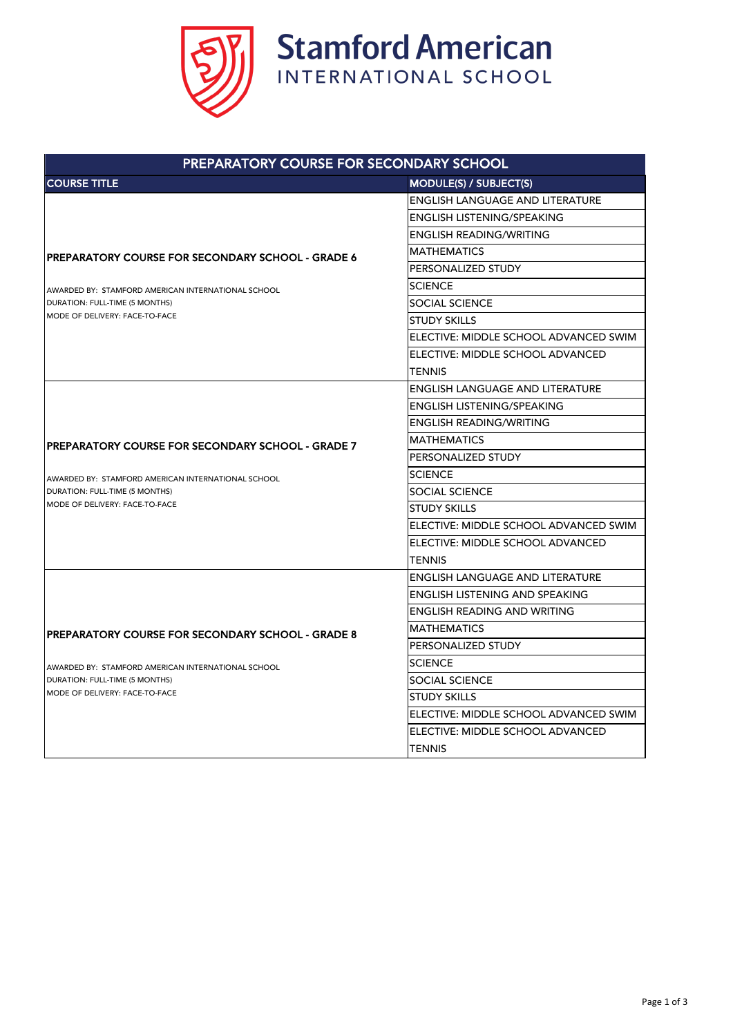

| PREPARATORY COURSE FOR SECONDARY SCHOOL                                                                                                                                              |                                        |  |
|--------------------------------------------------------------------------------------------------------------------------------------------------------------------------------------|----------------------------------------|--|
| <b>COURSE TITLE</b>                                                                                                                                                                  | <b>MODULE(S) / SUBJECT(S)</b>          |  |
| <b>IPREPARATORY COURSE FOR SECONDARY SCHOOL - GRADE 6</b><br>AWARDED BY: STAMFORD AMERICAN INTERNATIONAL SCHOOL<br>DURATION: FULL-TIME (5 MONTHS)<br>IMODE OF DELIVERY: FACE-TO-FACE | <b>ENGLISH LANGUAGE AND LITERATURE</b> |  |
|                                                                                                                                                                                      | <b>ENGLISH LISTENING/SPEAKING</b>      |  |
|                                                                                                                                                                                      | <b>ENGLISH READING/WRITING</b>         |  |
|                                                                                                                                                                                      | <b>MATHEMATICS</b>                     |  |
|                                                                                                                                                                                      | PERSONALIZED STUDY                     |  |
|                                                                                                                                                                                      | <b>SCIENCE</b>                         |  |
|                                                                                                                                                                                      | <b>SOCIAL SCIENCE</b>                  |  |
|                                                                                                                                                                                      | <b>STUDY SKILLS</b>                    |  |
|                                                                                                                                                                                      | ELECTIVE: MIDDLE SCHOOL ADVANCED SWIM  |  |
|                                                                                                                                                                                      | ELECTIVE: MIDDLE SCHOOL ADVANCED       |  |
|                                                                                                                                                                                      | <b>TENNIS</b>                          |  |
|                                                                                                                                                                                      | <b>ENGLISH LANGUAGE AND LITERATURE</b> |  |
|                                                                                                                                                                                      | <b>ENGLISH LISTENING/SPEAKING</b>      |  |
|                                                                                                                                                                                      | <b>ENGLISH READING/WRITING</b>         |  |
| <b>IPREPARATORY COURSE FOR SECONDARY SCHOOL - GRADE 7</b>                                                                                                                            | <b>MATHEMATICS</b>                     |  |
|                                                                                                                                                                                      | PERSONALIZED STUDY                     |  |
| AWARDED BY: STAMFORD AMERICAN INTERNATIONAL SCHOOL<br>DURATION: FULL-TIME (5 MONTHS)                                                                                                 | <b>SCIENCE</b>                         |  |
|                                                                                                                                                                                      | <b>SOCIAL SCIENCE</b>                  |  |
| <b>I</b> MODE OF DELIVERY: FACE-TO-FACE                                                                                                                                              | <b>STUDY SKILLS</b>                    |  |
|                                                                                                                                                                                      | ELECTIVE: MIDDLE SCHOOL ADVANCED SWIM  |  |
|                                                                                                                                                                                      | ELECTIVE: MIDDLE SCHOOL ADVANCED       |  |
|                                                                                                                                                                                      | <b>TENNIS</b>                          |  |
| <b> PREPARATORY COURSE FOR SECONDARY SCHOOL - GRADE 8</b>                                                                                                                            | <b>ENGLISH LANGUAGE AND LITERATURE</b> |  |
|                                                                                                                                                                                      | <b>ENGLISH LISTENING AND SPEAKING</b>  |  |
|                                                                                                                                                                                      | <b>ENGLISH READING AND WRITING</b>     |  |
|                                                                                                                                                                                      | <b>MATHEMATICS</b>                     |  |
|                                                                                                                                                                                      | PERSONALIZED STUDY                     |  |
| AWARDED BY: STAMFORD AMERICAN INTERNATIONAL SCHOOL                                                                                                                                   | <b>SCIENCE</b>                         |  |
| DURATION: FULL-TIME (5 MONTHS)<br>MODE OF DELIVERY: FACE-TO-FACE                                                                                                                     | <b>SOCIAL SCIENCE</b>                  |  |
|                                                                                                                                                                                      | <b>STUDY SKILLS</b>                    |  |
|                                                                                                                                                                                      | ELECTIVE: MIDDLE SCHOOL ADVANCED SWIM  |  |
|                                                                                                                                                                                      | ELECTIVE: MIDDLE SCHOOL ADVANCED       |  |
|                                                                                                                                                                                      | <b>TENNIS</b>                          |  |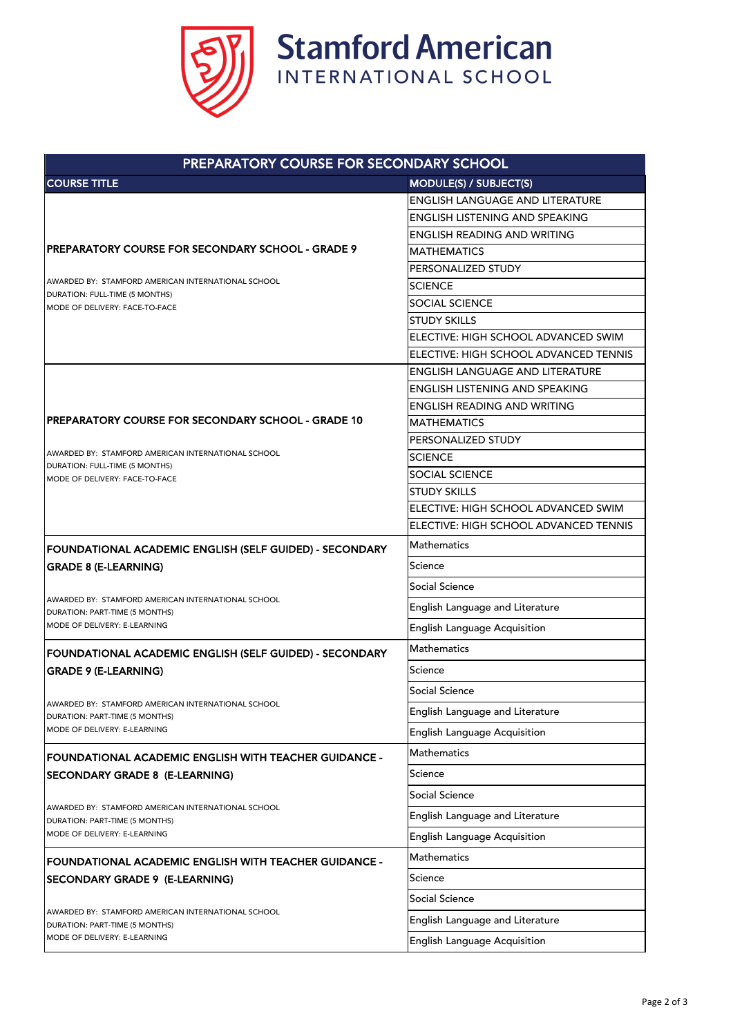

| PREPARATORY COURSE FOR SECONDARY SCHOOL                                                                                 |                                        |  |
|-------------------------------------------------------------------------------------------------------------------------|----------------------------------------|--|
| <b>COURSE TITLE</b>                                                                                                     | MODULE(S) / SUBJECT(S)                 |  |
| PREPARATORY COURSE FOR SECONDARY SCHOOL - GRADE 9                                                                       | <b>ENGLISH LANGUAGE AND LITERATURE</b> |  |
|                                                                                                                         | <b>ENGLISH LISTENING AND SPEAKING</b>  |  |
|                                                                                                                         | <b>ENGLISH READING AND WRITING</b>     |  |
|                                                                                                                         | <b>MATHEMATICS</b>                     |  |
|                                                                                                                         | PERSONALIZED STUDY                     |  |
| LAWARDED BY: STAMFORD AMERICAN INTERNATIONAL SCHOOL<br>DURATION: FULL-TIME (5 MONTHS)<br>MODE OF DELIVERY: FACE-TO-FACE | <b>SCIENCE</b>                         |  |
|                                                                                                                         | <b>SOCIAL SCIENCE</b>                  |  |
|                                                                                                                         | <b>STUDY SKILLS</b>                    |  |
|                                                                                                                         | ELECTIVE: HIGH SCHOOL ADVANCED SWIM    |  |
|                                                                                                                         | ELECTIVE: HIGH SCHOOL ADVANCED TENNIS  |  |
|                                                                                                                         | <b>ENGLISH LANGUAGE AND LITERATURE</b> |  |
|                                                                                                                         | <b>ENGLISH LISTENING AND SPEAKING</b>  |  |
|                                                                                                                         | <b>ENGLISH READING AND WRITING</b>     |  |
| <b>PREPARATORY COURSE FOR SECONDARY SCHOOL - GRADE 10</b>                                                               | <b>MATHEMATICS</b>                     |  |
| AWARDED BY: STAMFORD AMERICAN INTERNATIONAL SCHOOL                                                                      | PERSONALIZED STUDY                     |  |
| DURATION: FULL-TIME (5 MONTHS)                                                                                          | <b>SCIENCE</b>                         |  |
| MODE OF DELIVERY: FACE-TO-FACE                                                                                          | <b>SOCIAL SCIENCE</b>                  |  |
|                                                                                                                         | <b>STUDY SKILLS</b>                    |  |
|                                                                                                                         | ELECTIVE: HIGH SCHOOL ADVANCED SWIM    |  |
|                                                                                                                         | ELECTIVE: HIGH SCHOOL ADVANCED TENNIS  |  |
| FOUNDATIONAL ACADEMIC ENGLISH (SELF GUIDED) - SECONDARY                                                                 | <b>Mathematics</b>                     |  |
| <b>GRADE 8 (E-LEARNING)</b>                                                                                             | Science                                |  |
|                                                                                                                         | <b>Social Science</b>                  |  |
| AWARDED BY: STAMFORD AMERICAN INTERNATIONAL SCHOOL<br>DURATION: PART-TIME (5 MONTHS)                                    | English Language and Literature        |  |
| MODE OF DELIVERY: E-LEARNING                                                                                            | <b>English Language Acquisition</b>    |  |
| FOUNDATIONAL ACADEMIC ENGLISH (SELF GUIDED) - SECONDARY                                                                 | Mathematics                            |  |
| <b>GRADE 9 (E-LEARNING)</b>                                                                                             | Science                                |  |
| AWARDED BY: STAMFORD AMERICAN INTERNATIONAL SCHOOL<br>DURATION: PART-TIME (5 MONTHS)<br>MODE OF DELIVERY: E-LEARNING    | <b>Social Science</b>                  |  |
|                                                                                                                         | English Language and Literature        |  |
|                                                                                                                         | <b>English Language Acquisition</b>    |  |
| FOUNDATIONAL ACADEMIC ENGLISH WITH TEACHER GUIDANCE -                                                                   | <b>Mathematics</b>                     |  |
| <b>SECONDARY GRADE 8 (E-LEARNING)</b>                                                                                   | Science                                |  |
|                                                                                                                         | <b>Social Science</b>                  |  |
| AWARDED BY: STAMFORD AMERICAN INTERNATIONAL SCHOOL<br>DURATION: PART-TIME (5 MONTHS)<br>MODE OF DELIVERY: E-LEARNING    | English Language and Literature        |  |
|                                                                                                                         | <b>English Language Acquisition</b>    |  |
| <b>FOUNDATIONAL ACADEMIC ENGLISH WITH TEACHER GUIDANCE -</b>                                                            | Mathematics                            |  |
| <b>SECONDARY GRADE 9 (E-LEARNING)</b>                                                                                   | Science                                |  |
| AWARDED BY: STAMFORD AMERICAN INTERNATIONAL SCHOOL<br>DURATION: PART-TIME (5 MONTHS)<br>MODE OF DELIVERY: E-LEARNING    | <b>Social Science</b>                  |  |
|                                                                                                                         | English Language and Literature        |  |
|                                                                                                                         | <b>English Language Acquisition</b>    |  |